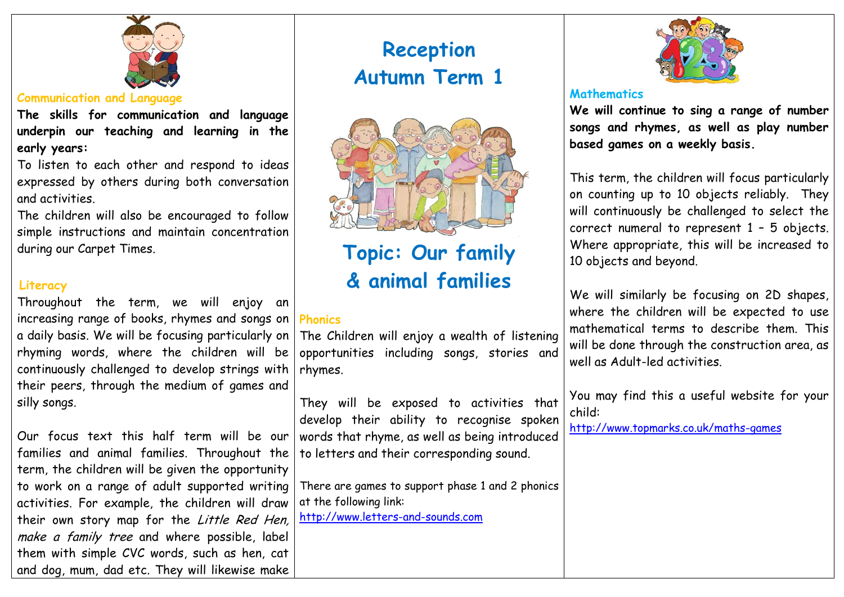

### **Communication and Language**

**The skills for communication and language underpin our teaching and learning in the early years:**

To listen to each other and respond to ideas expressed by others during both conversation and activities.

The children will also be encouraged to follow simple instructions and maintain concentration during our Carpet Times.

## **Literacy**

Throughout the term, we will enjoy an increasing range of books, rhymes and songs on a daily basis. We will be focusing particularly on rhyming words, where the children will be continuously challenged to develop strings with their peers, through the medium of games and silly songs.

Our focus text this half term will be our families and animal families. Throughout the term, the children will be given the opportunity to work on a range of adult supported writing activities. For example, the children will draw their own story map for the Little Red Hen, make a family tree and where possible, label them with simple CVC words, such as hen, cat and dog, mum, dad etc. They will likewise make

# **Reception Autumn Term 1**



# **Topic: Our family & animal families**

# **Phonics**

The Children will enjoy a wealth of listening opportunities including songs, stories and rhymes.

They will be exposed to activities that develop their ability to recognise spoken words that rhyme, as well as being introduced to letters and their corresponding sound.

There are games to support phase 1 and 2 phonics at the following link:

[http://www.letters-and-sounds.com](http://www.letters-and-sounds.com/)



#### **Mathematics**

**We will continue to sing a range of number songs and rhymes, as well as play number based games on a weekly basis.**

This term, the children will focus particularly on counting up to 10 objects reliably. They will continuously be challenged to select the correct numeral to represent 1 – 5 objects. Where appropriate, this will be increased to 10 objects and beyond.

We will similarly be focusing on 2D shapes, where the children will be expected to use mathematical terms to describe them. This will be done through the construction area, as well as Adult-led activities.

You may find this a useful website for your child:

<http://www.topmarks.co.uk/maths-games>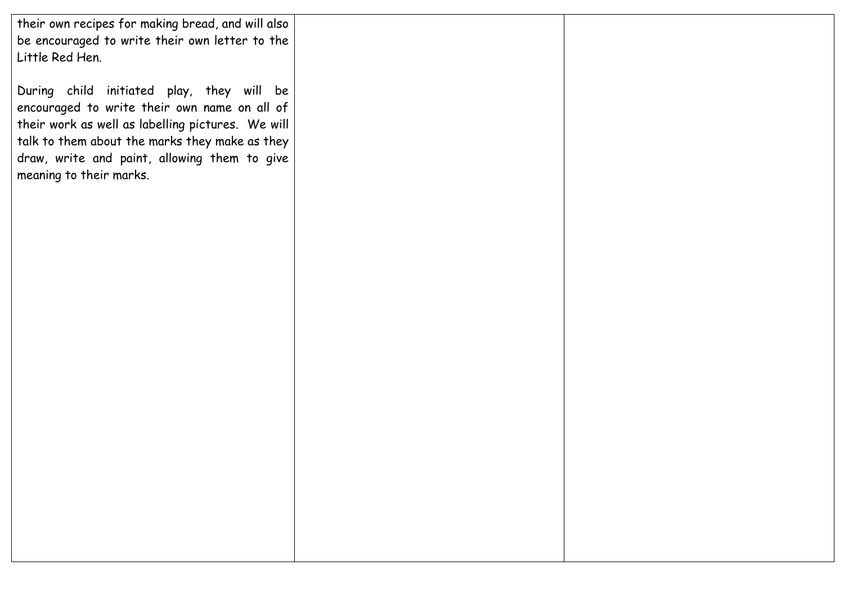their own recipes for making bread, and will also be encouraged to write their own letter to the Little Red Hen.

During child initiated play, they will be encouraged to write their own name on all of their work as well as labelling pictures. We will talk to them about the marks they make as they draw, write and paint, allowing them to give meaning to their marks.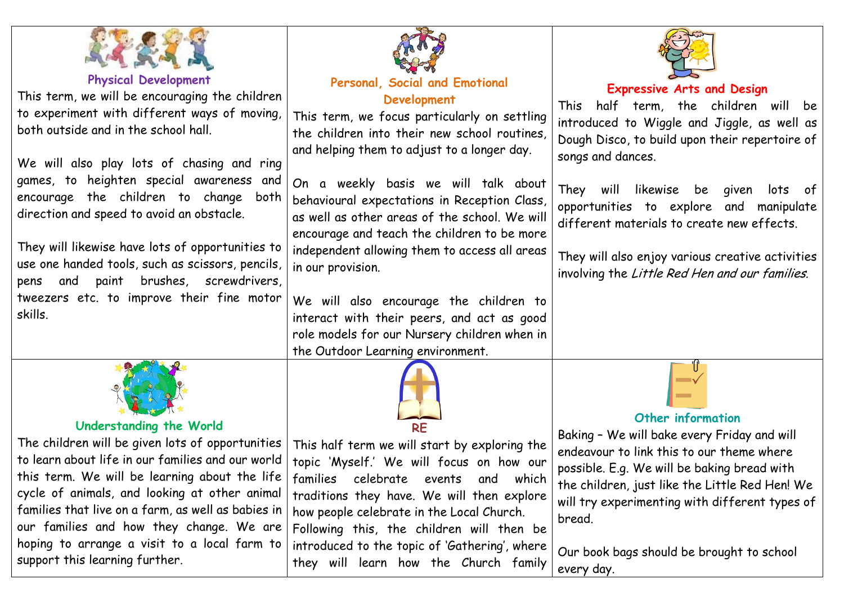

**Physical Development**

This term, we will be encouraging the children to experiment with different ways of moving, both outside and in the school hall.

We will also play lots of chasing and ring games, to heighten special awareness and encourage the children to change both direction and speed to avoid an obstacle.

They will likewise have lots of opportunities to use one handed tools, such as scissors, pencils, pens and paint brushes, screwdrivers, tweezers etc. to improve their fine motor skills.



## **Understanding the World**

The children will be given lots of opportunities to learn about life in our families and our world this term. We will be learning about the life cycle of animals, and looking at other animal families that live on a farm, as well as babies in our families and how they change. We are hoping to arrange a visit to a local farm to support this learning further.



## **Personal, Social and Emotional Development**

This term, we focus particularly on settling the children into their new school routines, and helping them to adjust to a longer day.

On a weekly basis we will talk about behavioural expectations in Reception Class, as well as other areas of the school. We will encourage and teach the children to be more independent allowing them to access all areas in our provision.

We will also encourage the children to interact with their peers, and act as good role models for our Nursery children when in the Outdoor Learning environment.



This half term we will start by exploring the topic 'Myself.' We will focus on how our families celebrate events and which traditions they have. We will then explore how people celebrate in the Local Church. Following this, the children will then be introduced to the topic of 'Gathering', where they will learn how the Church family



# **Expressive Arts and Design**

This half term, the children will be introduced to Wiggle and Jiggle, as well as Dough Disco, to build upon their repertoire of songs and dances.

They will likewise be given lots of opportunities to explore and manipulate different materials to create new effects.

They will also enjoy various creative activities involving the Little Red Hen and our families.



# **Other information**

Baking – We will bake every Friday and will endeavour to link this to our theme where possible. E.g. We will be baking bread with the children, just like the Little Red Hen! We will try experimenting with different types of bread.

Our book bags should be brought to school every day.